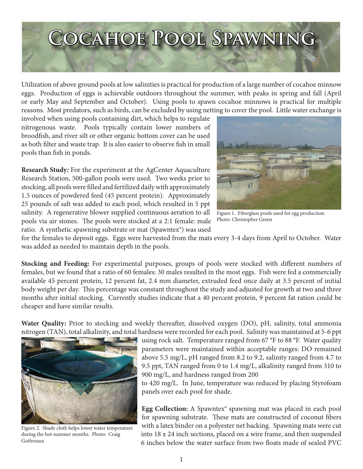## **Cocahoe Pool Spawning**

Utilization of above ground pools at low salinities is practical for production of a large number of cocahoe minnow eggs. Production of eggs is achievable outdoors throughout the summer, with peaks in spring and fall (April or early May and September and October). Using pools to spawn cocahoe minnows is practical for multiple reasons. Most predators, such as birds, can be excluded by using netting to cover the pool. Little water exchange is

involved when using pools containing dirt, which helps to regulate nitrogenous waste. Pools typically contain lower numbers of broodfish, and river silt or other organic bottom cover can be used as both filter and waste trap. It is also easier to observe fish in small pools than fish in ponds.

**Research Study:** For the experiment at the AgCenter Aquaculture Research Station, 500-gallon pools were used. Two weeks prior to stocking, all pools were filled and fertilized daily with approximately 1.5 ounces of powdered feed (45 percent protein). Approximately 25 pounds of salt was added to each pool, which resulted in 5 ppt salinity. A regenerative blower supplied continuous aeration to all pools via air stones. The pools were stocked at a 2:1 female: male ratio. A synthetic spawning substrate or mat (Spawntex®) was used



Figure 1. Fiberglass pools used for egg production. Photo: Christopher Green

for the females to deposit eggs. Eggs were harvested from the mats every 3-4 days from April to October. Water was added as needed to maintain depth in the pools.

**Stocking and Feeding:** For experimental purposes, groups of pools were stocked with different numbers of females, but we found that a ratio of 60 females: 30 males resulted in the most eggs. Fish were fed a commercially available 45 percent protein, 12 percent fat, 2.4 mm diameter, extruded feed once daily at 3.5 percent of initial body weight per day. This percentage was constant throughout the study and adjusted for growth at two and three months after initial stocking. Currently studies indicate that a 40 percent protein, 9 percent fat ration could be cheaper and have similar results.

**Water Quality:** Prior to stocking and weekly thereafter, dissolved oxygen (DO), pH, salinity, total ammonia nitrogen (TAN), total alkalinity, and total hardness were recorded for each pool. Salinity was maintained at 5-6 ppt



Figure 2. Shade cloth helps lower water temperature during the hot summer months. Photo: Craig Gothreaux

using rock salt. Temperature ranged from 67 °F to 88 °F. Water quality parameters were maintained within acceptable ranges: DO remained above 5.5 mg/L, pH ranged from 8.2 to 9.2, salinity ranged from 4.7 to 9.5 ppt, TAN ranged from 0 to 1.4 mg/L, alkalinity ranged from 310 to 900 mg/L, and hardness ranged from 200

to 420 mg/L. In June, temperature was reduced by placing Styrofoam panels over each pool for shade.

**Egg Collection:** A Spawntex® spawning mat was placed in each pool for spawning substrate. These mats are constructed of coconut fibers with a latex binder on a polyester net backing. Spawning mats were cut into 18 x 24 inch sections, placed on a wire frame, and then suspended 6 inches below the water surface from two floats made of sealed PVC